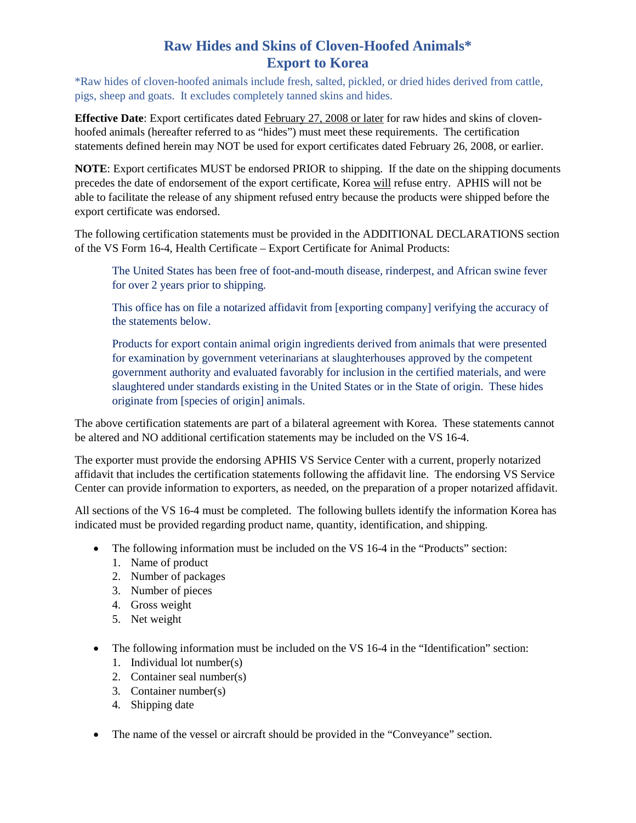## **Raw Hides and Skins of Cloven-Hoofed Animals\* Export to Korea**

\*Raw hides of cloven-hoofed animals include fresh, salted, pickled, or dried hides derived from cattle, pigs, sheep and goats. It excludes completely tanned skins and hides.

**Effective Date**: Export certificates dated February 27, 2008 or later for raw hides and skins of clovenhoofed animals (hereafter referred to as "hides") must meet these requirements. The certification statements defined herein may NOT be used for export certificates dated February 26, 2008, or earlier.

**NOTE**: Export certificates MUST be endorsed PRIOR to shipping. If the date on the shipping documents precedes the date of endorsement of the export certificate, Korea will refuse entry. APHIS will not be able to facilitate the release of any shipment refused entry because the products were shipped before the export certificate was endorsed.

The following certification statements must be provided in the ADDITIONAL DECLARATIONS section of the VS Form 16-4, Health Certificate – Export Certificate for Animal Products:

The United States has been free of foot-and-mouth disease, rinderpest, and African swine fever for over 2 years prior to shipping.

This office has on file a notarized affidavit from [exporting company] verifying the accuracy of the statements below.

Products for export contain animal origin ingredients derived from animals that were presented for examination by government veterinarians at slaughterhouses approved by the competent government authority and evaluated favorably for inclusion in the certified materials, and were slaughtered under standards existing in the United States or in the State of origin. These hides originate from [species of origin] animals.

The above certification statements are part of a bilateral agreement with Korea. These statements cannot be altered and NO additional certification statements may be included on the VS 16-4.

The exporter must provide the endorsing APHIS VS Service Center with a current, properly notarized affidavit that includes the certification statements following the affidavit line. The endorsing VS Service Center can provide information to exporters, as needed, on the preparation of a proper notarized affidavit.

All sections of the VS 16-4 must be completed. The following bullets identify the information Korea has indicated must be provided regarding product name, quantity, identification, and shipping.

- The following information must be included on the VS 16-4 in the "Products" section:
	- 1. Name of product
	- 2. Number of packages
	- 3. Number of pieces
	- 4. Gross weight
	- 5. Net weight
- The following information must be included on the VS 16-4 in the "Identification" section:
	- 1. Individual lot number(s)
	- 2. Container seal number(s)
	- 3. Container number(s)
	- 4. Shipping date
- The name of the vessel or aircraft should be provided in the "Conveyance" section.